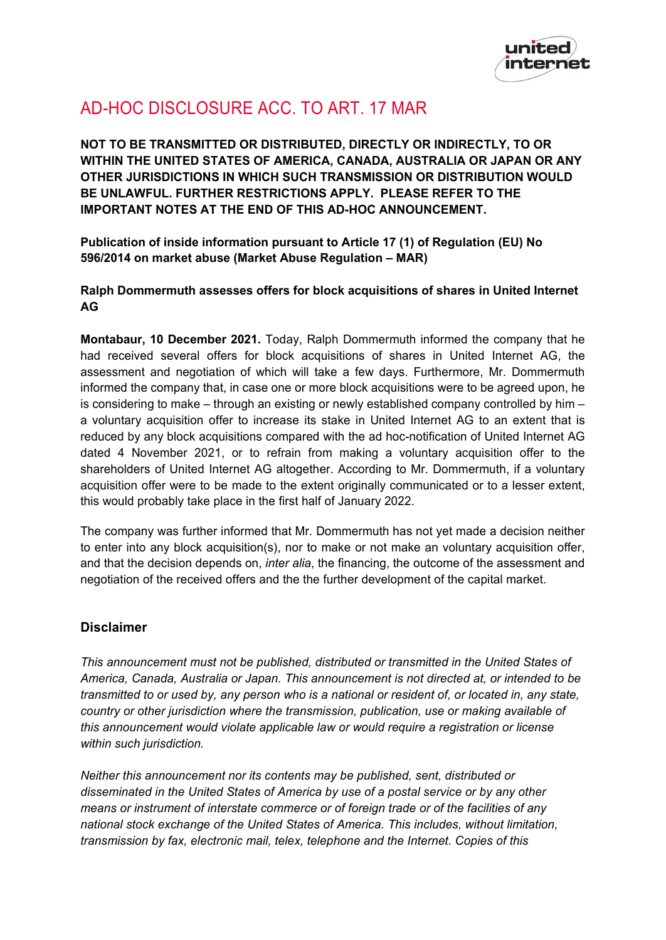

## AD-HOC DISCLOSURE ACC. TO ART. 17 MAR

**NOT TO BE TRANSMITTED OR DISTRIBUTED, DIRECTLY OR INDIRECTLY, TO OR WITHIN THE UNITED STATES OF AMERICA, CANADA, AUSTRALIA OR JAPAN OR ANY OTHER JURISDICTIONS IN WHICH SUCH TRANSMISSION OR DISTRIBUTION WOULD BE UNLAWFUL. FURTHER RESTRICTIONS APPLY. PLEASE REFER TO THE IMPORTANT NOTES AT THE END OF THIS AD-HOC ANNOUNCEMENT.**

**Publication of inside information pursuant to Article 17 (1) of Regulation (EU) No 596/2014 on market abuse (Market Abuse Regulation – MAR)**

**Ralph Dommermuth assesses offers for block acquisitions of shares in United Internet AG**

**Montabaur, 10 December 2021.** Today, Ralph Dommermuth informed the company that he had received several offers for block acquisitions of shares in United Internet AG, the assessment and negotiation of which will take a few days. Furthermore, Mr. Dommermuth informed the company that, in case one or more block acquisitions were to be agreed upon, he is considering to make – through an existing or newly established company controlled by him – a voluntary acquisition offer to increase its stake in United Internet AG to an extent that is reduced by any block acquisitions compared with the ad hoc-notification of United Internet AG dated 4 November 2021, or to refrain from making a voluntary acquisition offer to the shareholders of United Internet AG altogether. According to Mr. Dommermuth, if a voluntary acquisition offer were to be made to the extent originally communicated or to a lesser extent, this would probably take place in the first half of January 2022.

The company was further informed that Mr. Dommermuth has not yet made a decision neither to enter into any block acquisition(s), nor to make or not make an voluntary acquisition offer, and that the decision depends on, *inter alia*, the financing, the outcome of the assessment and negotiation of the received offers and the the further development of the capital market.

## **Disclaimer**

*This announcement must not be published, distributed or transmitted in the United States of America, Canada, Australia or Japan. This announcement is not directed at, or intended to be transmitted to or used by, any person who is a national or resident of, or located in, any state, country or other jurisdiction where the transmission, publication, use or making available of this announcement would violate applicable law or would require a registration or license within such jurisdiction.*

*Neither this announcement nor its contents may be published, sent, distributed or disseminated in the United States of America by use of a postal service or by any other means or instrument of interstate commerce or of foreign trade or of the facilities of any national stock exchange of the United States of America. This includes, without limitation, transmission by fax, electronic mail, telex, telephone and the Internet. Copies of this*